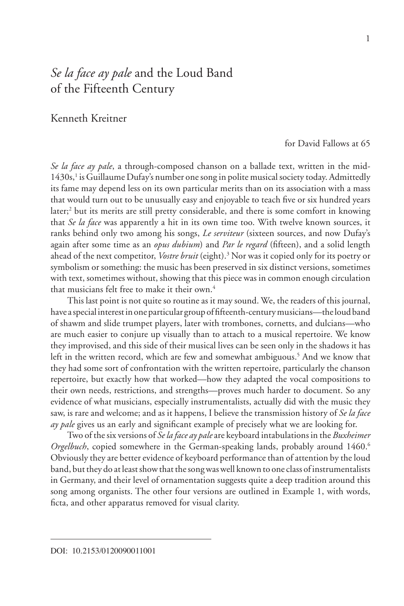# *Se la face ay pale* and the Loud Band of the Fifteenth Century

## Kenneth Kreitner

for David Fallows at 65

*Se la face ay pale*, a through-composed chanson on a ballade text, written in the mid-1430s,<sup>1</sup> is Guillaume Dufay's number one song in polite musical society today. Admittedly its fame may depend less on its own particular merits than on its association with a mass that would turn out to be unusually easy and enjoyable to teach five or six hundred years later;<sup>2</sup> but its merits are still pretty considerable, and there is some comfort in knowing that *Se la face* was apparently a hit in its own time too. With twelve known sources, it ranks behind only two among his songs, *Le serviteur* (sixteen sources, and now Dufay's again after some time as an *opus dubium*) and *Par le regard* (fifteen), and a solid length ahead of the next competitor, *Vostre bruit* (eight).3 Nor was it copied only for its poetry or symbolism or something: the music has been preserved in six distinct versions, sometimes with text, sometimes without, showing that this piece was in common enough circulation that musicians felt free to make it their own.<sup>4</sup>

This last point is not quite so routine as it may sound. We, the readers of this journal, have a special interest in one particular group of fifteenth-century musicians—the loud band of shawm and slide trumpet players, later with trombones, cornetts, and dulcians—who are much easier to conjure up visually than to attach to a musical repertoire. We know they improvised, and this side of their musical lives can be seen only in the shadows it has left in the written record, which are few and somewhat ambiguous.<sup>5</sup> And we know that they had some sort of confrontation with the written repertoire, particularly the chanson repertoire, but exactly how that worked—how they adapted the vocal compositions to their own needs, restrictions, and strengths—proves much harder to document. So any evidence of what musicians, especially instrumentalists, actually did with the music they saw, is rare and welcome; and as it happens, I believe the transmission history of *Se la face ay pale* gives us an early and significant example of precisely what we are looking for.

Two of the six versions of *Se la face ay pale* are keyboard intabulations in the *Buxheimer Orgelbuch*, copied somewhere in the German-speaking lands, probably around 1460.<sup>6</sup> Obviously they are better evidence of keyboard performance than of attention by the loud band, but they do at least show that the song was well known to one class of instrumentalists in Germany, and their level of ornamentation suggests quite a deep tradition around this song among organists. The other four versions are outlined in Example 1, with words, ficta, and other apparatus removed for visual clarity.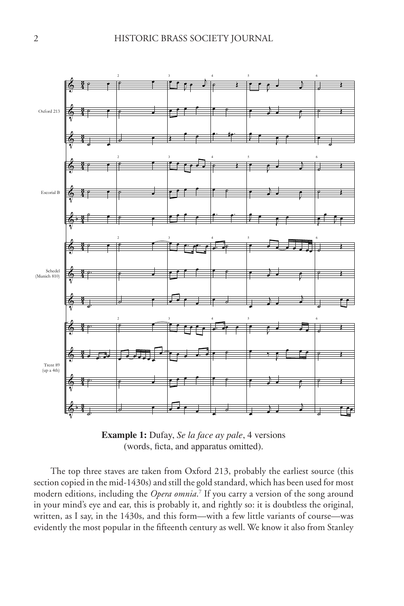Example 1. Dufay, *Se la face ay pale*, 4 versions



**Example 1:** Dufay, *Se la face ay pale*, 4 versions (words, ficta, and apparatus omitted).

The top three staves are taken from Oxford 213, probably the earliest source (this section copied in the mid-1430s) and still the gold standard, which has been used for most modern editions, including the *Opera omnia*. 7 If you carry a version of the song around in your mind's eye and ear, this is probably it, and rightly so: it is doubtless the original, written, as I say, in the 1430s, and this form—with a few little variants of course—was evidently the most popular in the fifteenth century as well. We know it also from Stanley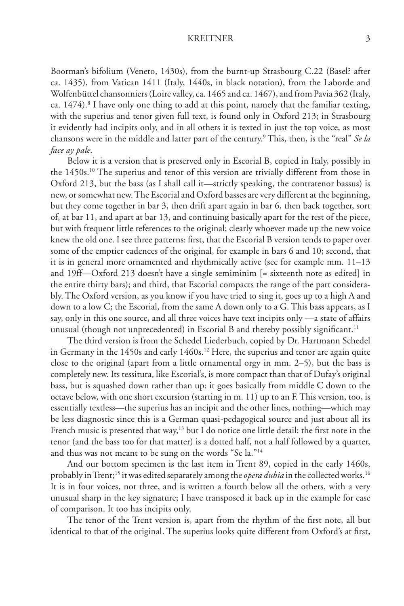Boorman's bifolium (Veneto, 1430s), from the burnt-up Strasbourg C.22 (Basel? after ca. 1435), from Vatican 1411 (Italy, 1440s, in black notation), from the Laborde and Wolfenbüttel chansonniers (Loire valley, ca. 1465 and ca. 1467), and from Pavia 362 (Italy, ca. 1474).<sup>8</sup> I have only one thing to add at this point, namely that the familiar texting, with the superius and tenor given full text, is found only in Oxford 213; in Strasbourg it evidently had incipits only, and in all others it is texted in just the top voice, as most chansons were in the middle and latter part of the century.9 This, then, is the "real" *Se la face ay pale*.

Below it is a version that is preserved only in Escorial B, copied in Italy, possibly in the 1450s.10 The superius and tenor of this version are trivially different from those in Oxford 213, but the bass (as I shall call it—strictly speaking, the contratenor bassus) is new, or somewhat new. The Escorial and Oxford basses are very different at the beginning, but they come together in bar 3, then drift apart again in bar 6, then back together, sort of, at bar 11, and apart at bar 13, and continuing basically apart for the rest of the piece, but with frequent little references to the original; clearly whoever made up the new voice knew the old one. I see three patterns: first, that the Escorial B version tends to paper over some of the emptier cadences of the original, for example in bars 6 and 10; second, that it is in general more ornamented and rhythmically active (see for example mm. 11–13 and 19ff—Oxford 213 doesn't have a single semiminim [= sixteenth note as edited] in the entire thirty bars); and third, that Escorial compacts the range of the part considerably. The Oxford version, as you know if you have tried to sing it, goes up to a high A and down to a low C; the Escorial, from the same A down only to a G. This bass appears, as I say, only in this one source, and all three voices have text incipits only —a state of affairs unusual (though not unprecedented) in Escorial B and thereby possibly significant.<sup>11</sup>

The third version is from the Schedel Liederbuch, copied by Dr. Hartmann Schedel in Germany in the 1450s and early 1460s.<sup>12</sup> Here, the superius and tenor are again quite close to the original (apart from a little ornamental orgy in mm. 2–5), but the bass is completely new. Its tessitura, like Escorial's, is more compact than that of Dufay's original bass, but is squashed down rather than up: it goes basically from middle C down to the octave below, with one short excursion (starting in m. 11) up to an F. This version, too, is essentially textless—the superius has an incipit and the other lines, nothing—which may be less diagnostic since this is a German quasi-pedagogical source and just about all its French music is presented that way,<sup>13</sup> but I do notice one little detail: the first note in the tenor (and the bass too for that matter) is a dotted half, not a half followed by a quarter, and thus was not meant to be sung on the words "Se la."14

And our bottom specimen is the last item in Trent 89, copied in the early 1460s, probably in Trent;<sup>15</sup> it was edited separately among the *opera dubia* in the collected works.<sup>16</sup> It is in four voices, not three, and is written a fourth below all the others, with a very unusual sharp in the key signature; I have transposed it back up in the example for ease of comparison. It too has incipits only.

The tenor of the Trent version is, apart from the rhythm of the first note, all but identical to that of the original. The superius looks quite different from Oxford's at first,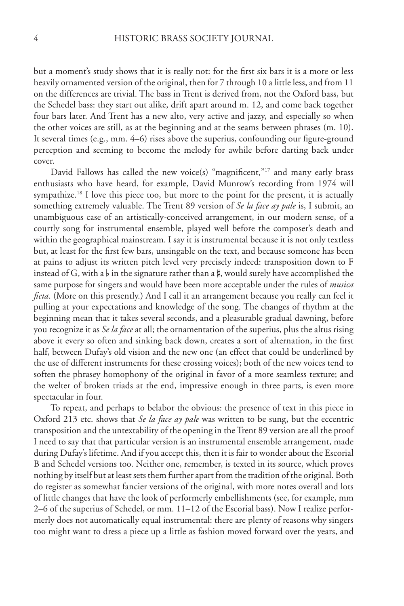but a moment's study shows that it is really not: for the first six bars it is a more or less heavily ornamented version of the original, then for 7 through 10 a little less, and from 11 on the differences are trivial. The bass in Trent is derived from, not the Oxford bass, but the Schedel bass: they start out alike, drift apart around m. 12, and come back together four bars later. And Trent has a new alto, very active and jazzy, and especially so when the other voices are still, as at the beginning and at the seams between phrases (m. 10). It several times (e.g., mm. 4–6) rises above the superius, confounding our figure-ground perception and seeming to become the melody for awhile before darting back under cover.

David Fallows has called the new voice(s) "magnificent,"<sup>17</sup> and many early brass enthusiasts who have heard, for example, David Munrow's recording from 1974 will sympathize.<sup>18</sup> I love this piece too, but more to the point for the present, it is actually something extremely valuable. The Trent 89 version of *Se la face ay pale* is, I submit, an unambiguous case of an artistically-conceived arrangement, in our modern sense, of a courtly song for instrumental ensemble, played well before the composer's death and within the geographical mainstream. I say it is instrumental because it is not only textless but, at least for the first few bars, unsingable on the text, and because someone has been at pains to adjust its written pitch level very precisely indeed: transposition down to F instead of G, with a  $\flat$  in the signature rather than a  $\sharp$ , would surely have accomplished the same purpose for singers and would have been more acceptable under the rules of *musica ficta*. (More on this presently.) And I call it an arrangement because you really can feel it pulling at your expectations and knowledge of the song. The changes of rhythm at the beginning mean that it takes several seconds, and a pleasurable gradual dawning, before you recognize it as *Se la face* at all; the ornamentation of the superius, plus the altus rising above it every so often and sinking back down, creates a sort of alternation, in the first half, between Dufay's old vision and the new one (an effect that could be underlined by the use of different instruments for these crossing voices); both of the new voices tend to soften the phrasey homophony of the original in favor of a more seamless texture; and the welter of broken triads at the end, impressive enough in three parts, is even more spectacular in four.

To repeat, and perhaps to belabor the obvious: the presence of text in this piece in Oxford 213 etc. shows that *Se la face ay pale* was written to be sung, but the eccentric transposition and the untextability of the opening in the Trent 89 version are all the proof I need to say that that particular version is an instrumental ensemble arrangement, made during Dufay's lifetime. And if you accept this, then it is fair to wonder about the Escorial B and Schedel versions too. Neither one, remember, is texted in its source, which proves nothing by itself but at least sets them further apart from the tradition of the original. Both do register as somewhat fancier versions of the original, with more notes overall and lots of little changes that have the look of performerly embellishments (see, for example, mm 2–6 of the superius of Schedel, or mm. 11–12 of the Escorial bass). Now I realize performerly does not automatically equal instrumental: there are plenty of reasons why singers too might want to dress a piece up a little as fashion moved forward over the years, and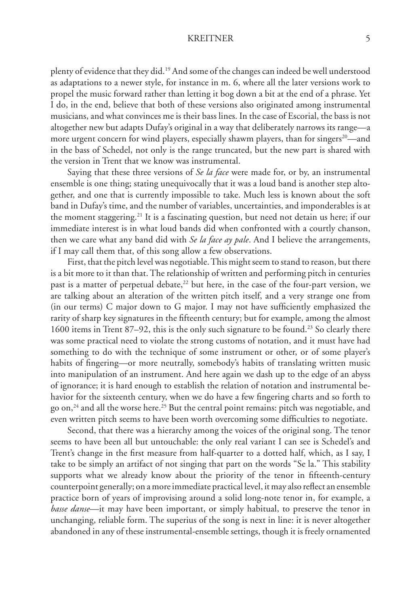plenty of evidence that they did.19 And some of the changes can indeed be well understood as adaptations to a newer style, for instance in m. 6, where all the later versions work to propel the music forward rather than letting it bog down a bit at the end of a phrase. Yet I do, in the end, believe that both of these versions also originated among instrumental musicians, and what convinces me is their bass lines. In the case of Escorial, the bass is not altogether new but adapts Dufay's original in a way that deliberately narrows its range—a more urgent concern for wind players, especially shawm players, than for singers<sup>20</sup>—and in the bass of Schedel, not only is the range truncated, but the new part is shared with the version in Trent that we know was instrumental.

Saying that these three versions of *Se la face* were made for, or by, an instrumental ensemble is one thing; stating unequivocally that it was a loud band is another step altogether, and one that is currently impossible to take. Much less is known about the soft band in Dufay's time, and the number of variables, uncertainties, and imponderables is at the moment staggering.21 It is a fascinating question, but need not detain us here; if our immediate interest is in what loud bands did when confronted with a courtly chanson, then we care what any band did with *Se la face ay pale*. And I believe the arrangements, if I may call them that, of this song allow a few observations.

First, that the pitch level was negotiable. This might seem to stand to reason, but there is a bit more to it than that. The relationship of written and performing pitch in centuries past is a matter of perpetual debate,<sup>22</sup> but here, in the case of the four-part version, we are talking about an alteration of the written pitch itself, and a very strange one from (in our terms) C major down to G major. I may not have sufficiently emphasized the rarity of sharp key signatures in the fifteenth century; but for example, among the almost 1600 items in Trent 87–92, this is the only such signature to be found.<sup>23</sup> So clearly there was some practical need to violate the strong customs of notation, and it must have had something to do with the technique of some instrument or other, or of some player's habits of fingering—or more neutrally, somebody's habits of translating written music into manipulation of an instrument. And here again we dash up to the edge of an abyss of ignorance; it is hard enough to establish the relation of notation and instrumental behavior for the sixteenth century, when we do have a few fingering charts and so forth to go on,<sup>24</sup> and all the worse here.<sup>25</sup> But the central point remains: pitch was negotiable, and even written pitch seems to have been worth overcoming some difficulties to negotiate.

Second, that there was a hierarchy among the voices of the original song. The tenor seems to have been all but untouchable: the only real variant I can see is Schedel's and Trent's change in the first measure from half-quarter to a dotted half, which, as I say, I take to be simply an artifact of not singing that part on the words "Se la." This stability supports what we already know about the priority of the tenor in fifteenth-century counterpoint generally; on a more immediate practical level, it may also reflect an ensemble practice born of years of improvising around a solid long-note tenor in, for example, a *basse danse*—it may have been important, or simply habitual, to preserve the tenor in unchanging, reliable form. The superius of the song is next in line: it is never altogether abandoned in any of these instrumental-ensemble settings, though it is freely ornamented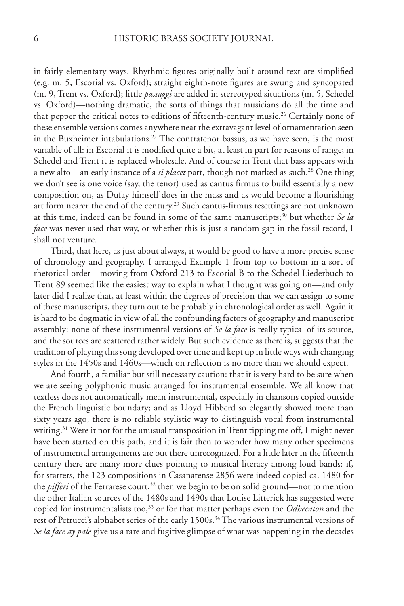in fairly elementary ways. Rhythmic figures originally built around text are simplified (e.g. m. 5, Escorial vs. Oxford); straight eighth-note figures are swung and syncopated (m. 9, Trent vs. Oxford); little *passaggi* are added in stereotyped situations (m. 5, Schedel vs. Oxford)—nothing dramatic, the sorts of things that musicians do all the time and that pepper the critical notes to editions of fifteenth-century music.<sup>26</sup> Certainly none of these ensemble versions comes anywhere near the extravagant level of ornamentation seen in the Buxheimer intabulations.<sup>27</sup> The contratenor bassus, as we have seen, is the most variable of all: in Escorial it is modified quite a bit, at least in part for reasons of range; in Schedel and Trent it is replaced wholesale. And of course in Trent that bass appears with a new alto—an early instance of a *si placet* part, though not marked as such.28 One thing we don't see is one voice (say, the tenor) used as cantus firmus to build essentially a new composition on, as Dufay himself does in the mass and as would become a flourishing art form nearer the end of the century.<sup>29</sup> Such cantus-firmus resettings are not unknown at this time, indeed can be found in some of the same manuscripts;30 but whether *Se la face* was never used that way, or whether this is just a random gap in the fossil record, I shall not venture.

Third, that here, as just about always, it would be good to have a more precise sense of chronology and geography. I arranged Example 1 from top to bottom in a sort of rhetorical order—moving from Oxford 213 to Escorial B to the Schedel Liederbuch to Trent 89 seemed like the easiest way to explain what I thought was going on—and only later did I realize that, at least within the degrees of precision that we can assign to some of these manuscripts, they turn out to be probably in chronological order as well. Again it is hard to be dogmatic in view of all the confounding factors of geography and manuscript assembly: none of these instrumental versions of *Se la face* is really typical of its source, and the sources are scattered rather widely. But such evidence as there is, suggests that the tradition of playing this song developed over time and kept up in little ways with changing styles in the 1450s and 1460s—which on reflection is no more than we should expect.

And fourth, a familiar but still necessary caution: that it is very hard to be sure when we are seeing polyphonic music arranged for instrumental ensemble. We all know that textless does not automatically mean instrumental, especially in chansons copied outside the French linguistic boundary; and as Lloyd Hibberd so elegantly showed more than sixty years ago, there is no reliable stylistic way to distinguish vocal from instrumental writing.<sup>31</sup> Were it not for the unusual transposition in Trent tipping me off, I might never have been started on this path, and it is fair then to wonder how many other specimens of instrumental arrangements are out there unrecognized. For a little later in the fifteenth century there are many more clues pointing to musical literacy among loud bands: if, for starters, the 123 compositions in Casanatense 2856 were indeed copied ca. 1480 for the *pifferi* of the Ferrarese court,<sup>32</sup> then we begin to be on solid ground—not to mention the other Italian sources of the 1480s and 1490s that Louise Litterick has suggested were copied for instrumentalists too,33 or for that matter perhaps even the *Odhecaton* and the rest of Petrucci's alphabet series of the early 1500s.<sup>34</sup> The various instrumental versions of *Se la face ay pale* give us a rare and fugitive glimpse of what was happening in the decades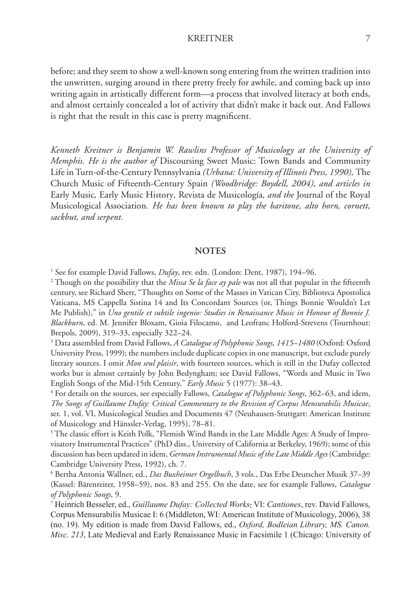before; and they seem to show a well-known song entering from the written tradition into the unwritten, surging around in there pretty freely for awhile, and coming back up into writing again in artistically different form—a process that involved literacy at both ends, and almost certainly concealed a lot of activity that didn't make it back out. And Fallows is right that the result in this case is pretty magnificent.

*Kenneth Kreitner is Benjamin W. Rawlins Professor of Musicology at the University of Memphis. He is the author of* Discoursing Sweet Music: Town Bands and Community Life in Turn-of-the-Century Pennsylvania *(Urbana: University of Illinois Press, 1990),* The Church Music of Fifteenth-Century Spain *(Woodbridge: Boydell, 2004), and articles in*  Early Music*,* Early Music History*,* Revista de Musicología*, and the* Journal of the Royal Musicological Association*. He has been known to play the baritone, alto horn, cornett, sackbut, and serpent.*

#### **NOTES**

<sup>1</sup> See for example David Fallows, *Dufay*, rev. edn. (London: Dent, 1987), 194–96.

2 Though on the possibility that the *Missa Se la face ay pale* was not all that popular in the fifteenth century, see Richard Sherr, "Thoughts on Some of the Masses in Vatican City, Biblioteca Apostolica Vaticana, MS Cappella Sistina 14 and Its Concordant Sources (or, Things Bonnie Wouldn't Let Me Publish)," in *Uno gentile et subtile ingenio: Studies in Renaissance Music in Honour of Bonnie J. Blackburn*, ed. M. Jennifer Bloxam, Gioia Filocamo, and Leofranc Holford-Strevens (Tournhout: Brepols, 2009), 319–33, especially 322–24.

3 Data assembled from David Fallows, *A Catalogue of Polyphonic Songs, 1415–1480* (Oxford: Oxford University Press, 1999); the numbers include duplicate copies in one manuscript, but exclude purely literary sources. I omit *Mon seul plaisir*, with fourteen sources, which is still in the Dufay collected works but is almost certainly by John Bedyngham; see David Fallows, "Words and Music in Two English Songs of the Mid-15th Century," *Early Music* 5 (1977): 38–43. 4

 For details on the sources, see especially Fallows, *Catalogue of Polyphonic Songs*, 362–63, and idem, *The Songs of Guillaume Dufay: Critical Commentary to the Revision of Corpus Mensurabilis Musicae*, ser. 1, vol. VI, Musicological Studies and Documents 47 (Neuhausen-Stuttgart: American Institute of Musicology and Hänssler-Verlag, 1995), 78–81. 5

<sup>5</sup> The classic effort is Keith Polk, "Flemish Wind Bands in the Late Middle Ages: A Study of Improvisatory Instrumental Practices" (PhD diss., University of California at Berkeley, 1969); some of this discussion has been updated in idem, *German Instrumental Music of the Late Middle Ages* (Cambridge: Cambridge University Press, 1992), ch. 7.

<sup>6</sup> Bertha Antonia Wallner, ed., *Das Buxheimer Orgelbuch*, 3 vols., Das Erbe Deutscher Musik 37–39 (Kassel: Bärenreiter, 1958–59), nos. 83 and 255. On the date, see for example Fallows, *Catalogue of Polyphonic Songs*, 9.

<sup>7</sup> Heinrich Besseler, ed., *Guillaume Dufay: Collected Works,* VI: *Cantiones*, rev. David Fallows, Corpus Mensurabilis Musicae I: 6 (Middleton, WI: American Institute of Musicology, 2006), 38 (no. 19). My edition is made from David Fallows, ed., *Oxford, Bodleian Library, MS. Canon. Misc. 213*, Late Medieval and Early Renaissance Music in Facsimile 1 (Chicago: University of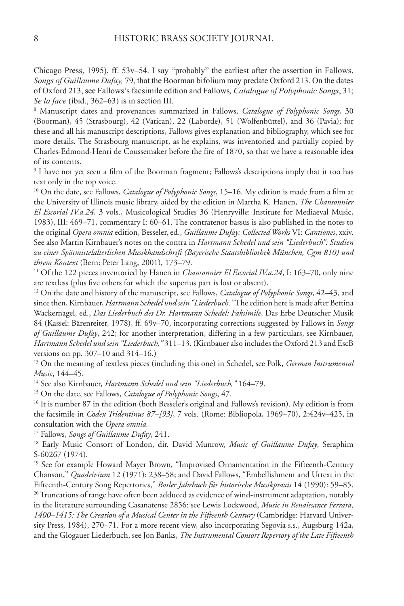Chicago Press, 1995), ff. 53v–54. I say "probably" the earliest after the assertion in Fallows, *Songs of Guillaume Dufay,* 79, that the Boorman bifolium may predate Oxford 213. On the dates of Oxford 213, see Fallows's facsimile edition and Fallows*, Catalogue of Polyphonic Songs*, 31; *Se la face* (ibid., 362–63) is in section III.

8 Manuscript dates and provenances summarized in Fallows, *Catalogue of Polyphonic Songs*, 30 (Boorman), 45 (Strasbourg), 42 (Vatican), 22 (Laborde), 51 (Wolfenbüttel), and 36 (Pavia); for these and all his manuscript descriptions, Fallows gives explanation and bibliography, which see for more details. The Strasbourg manuscript, as he explains, was inventoried and partially copied by Charles-Edmond-Henri de Coussemaker before the fire of 1870, so that we have a reasonable idea of its contents.

9 I have not yet seen a film of the Boorman fragment; Fallows's descriptions imply that it too has text only in the top voice.

10 On the date, see Fallows, *Catalogue of Polyphonic Songs*, 15–16. My edition is made from a film at the University of Illinois music library, aided by the edition in Martha K. Hanen, *The Chansonnier El Escorial IV.a.24,* 3 vols., Musicological Studies 36 (Henryville: Institute for Mediaeval Music, 1983), III: 469–71, commentary I: 60–61. The contratenor bassus is also published in the notes to the original *Opera omnia* edition, Besseler, ed., *Guillaume Dufay: Collected Works* VI: *Cantiones*, xxiv. See also Martin Kirnbauer's notes on the contra in *Hartmann Schedel und sein "Liederbuch": Studien zu einer Spätmittelalterlichen Musikhandschrift (Bayerische Staatsbibliothek München, Cgm 810) und ihrem Kontext* (Bern: Peter Lang, 2001), 173–79.<br><sup>11</sup> Of the 122 pieces inventoried by Hanen in *Chansonnier El Escorial IV.a.24*, I: 163–70, only nine

are textless (plus five others for which the superius part is lost or absent).

12 On the date and history of the manuscript, see Fallows, *Catalogue of Polyphonic Songs*, 42–43, and since then, Kirnbauer, *Hartmann Schedel und sein "Liederbuch."* The edition here is made after Bettina Wackernagel, ed., *Das Liederbuch des Dr. Hartmann Schedel: Faksimile*, Das Erbe Deutscher Musik 84 (Kassel: Bärenreiter, 1978), ff. 69v–70, incorporating corrections suggested by Fallows in *Songs of Guillaume Dufay*, 242; for another interpretation, differing in a few particulars, see Kirnbauer, *Hartmann Schedel und sein "Liederbuch,"* 311–13. (Kirnbauer also includes the Oxford 213 and EscB versions on pp. 307–10 and 314–16.)

13 On the meaning of textless pieces (including this one) in Schedel, see Polk, *German Instrumental Music*, 144–45.

<sup>14</sup> See also Kirnbauer, *Hartmann Schedel und sein "Liederbuch,*" 164–79.<br><sup>15</sup> On the date, see Fallows, *Catalogue of Polyphonic Songs*, 47.<br><sup>16</sup> It is number 87 in the edition (both Besseler's original and Fallows's re the facsimile in *Codex Tridentinus 87–[93]*, 7 vols. (Rome: Bibliopola, 1969–70), 2:424v–425, in consultation with the *Opera omnia.*

<sup>17</sup> Fallows, *Songs of Guillaume Dufay*, 241.<br><sup>18</sup> Early Music Consort of London, dir. David Munrow, *Music of Guillaume Dufay*, Seraphim S-60267 (1974).

<sup>19</sup> See for example Howard Mayer Brown, "Improvised Ornamentation in the Fifteenth-Century Chanson," *Quadrivium* 12 (1971): 238–58; and David Fallows, "Embellishment and Urtext in the Fifteenth-Century Song Repertories," *Basler Jahrbuch für historische Musikpraxis* 14 (1990): 59–85.<br><sup>20</sup> Truncations of range have often been adduced as evidence of wind-instrument adaptation, notably

in the literature surrounding Casanatense 2856: see Lewis Lockwood, *Music in Renaissance Ferrara, 1400–1415: The Creation of a Musical Center in the Fifteenth Century* (Cambridge: Harvard University Press, 1984), 270–71. For a more recent view, also incorporating Segovia s.s., Augsburg 142a, and the Glogauer Liederbuch, see Jon Banks, *The Instrumental Consort Repertory of the Late Fifteenth*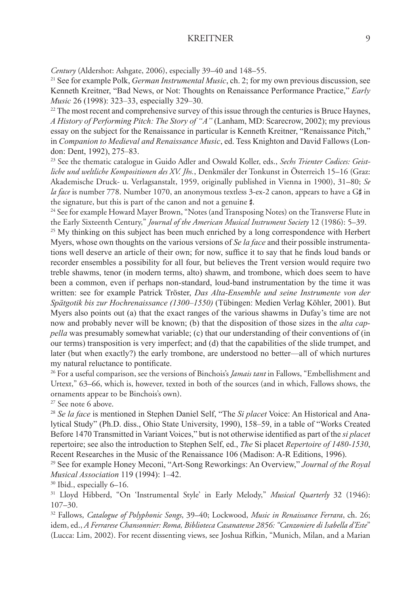*Century* (Aldershot: Ashgate, 2006), especially 39–40 and 148–55. 21 See for example Polk, *German Instrumental Music*, ch. 2; for my own previous discussion, see Kenneth Kreitner, "Bad News, or Not: Thoughts on Renaissance Performance Practice," *Early Music* 26 (1998): 323–33, especially 329–30.

 $22$  The most recent and comprehensive survey of this issue through the centuries is Bruce Haynes, *A History of Performing Pitch: The Story of "A"* (Lanham, MD: Scarecrow, 2002); my previous essay on the subject for the Renaissance in particular is Kenneth Kreitner, "Renaissance Pitch," in *Companion to Medieval and Renaissance Music*, ed. Tess Knighton and David Fallows (London: Dent, 1992), 275–83.

23 See the thematic catalogue in Guido Adler and Oswald Koller, eds., *Sechs Trienter Codices: Geistliche und weltliche Kompositionen des XV. Jhs.*, Denkmäler der Tonkunst in Österreich 15–16 (Graz: Akademische Druck- u. Verlagsanstalt, 1959, originally published in Vienna in 1900), 31–80; *Se la face* is number 778. Number 1070, an anonymous textless 3-ex-2 canon, appears to have a G# in the signature, but this is part of the canon and not a genuine #.

<sup>24</sup> See for example Howard Mayer Brown, "Notes (and Transposing Notes) on the Transverse Flute in the Early Sixteenth Century," *Journal of the American Musical Instrument Society* 12 (1986): 5–39. 25 My thinking on this subject has been much enriched by a long correspondence with Herbert

Myers, whose own thoughts on the various versions of *Se la face* and their possible instrumentations well deserve an article of their own; for now, suffice it to say that he finds loud bands or recorder ensembles a possibility for all four, but believes the Trent version would require two treble shawms, tenor (in modern terms, alto) shawm, and trombone, which does seem to have been a common, even if perhaps non-standard, loud-band instrumentation by the time it was written: see for example Patrick Tröster, *Das Alta-Ensemble und seine Instrumente von der Spätgotik bis zur Hochrenaissance (1300–1550)* (Tübingen: Medien Verlag Köhler, 2001). But Myers also points out (a) that the exact ranges of the various shawms in Dufay's time are not now and probably never will be known; (b) that the disposition of those sizes in the *alta cappella* was presumably somewhat variable; (c) that our understanding of their conventions of (in our terms) transposition is very imperfect; and (d) that the capabilities of the slide trumpet, and later (but when exactly?) the early trombone, are understood no better—all of which nurtures my natural reluctance to pontificate.

26 For a useful comparison, see the versions of Binchois's *Jamais tant* in Fallows, "Embellishment and Urtext," 63–66, which is, however, texted in both of the sources (and in which, Fallows shows, the ornaments appear to be Binchois's own).

27 See note 6 above.

<sup>28</sup> *Se la face* is mentioned in Stephen Daniel Self, "The *Si placet* Voice: An Historical and Analytical Study" (Ph.D. diss., Ohio State University, 1990), 158–59, in a table of "Works Created Before 1470 Transmitted in Variant Voices," but is not otherwise identified as part of the *si placet* repertoire; see also the introduction to Stephen Self, ed., *The* Si placet *Repertoire of 1480-1530*, Recent Researches in the Music of the Renaissance 106 (Madison: A-R Editions, 1996).

<sup>29</sup> See for example Honey Meconi, "Art-Song Reworkings: An Overview," *Journal of the Royal Musical Association* 119 (1994): 1–42.

30 Ibid., especially 6–16.

31 Lloyd Hibberd, "On 'Instrumental Style' in Early Melody," *Musical Quarterly* 32 (1946): 107–30.

32 Fallows, *Catalogue of Polyphonic Songs*, 39–40; Lockwood, *Music in Renaissance Ferrara*, ch. 26; idem, ed., *A Ferrarese Chansonnier: Roma, Biblioteca Casanatense 2856: "Canzoniere di Isabella d'Este*" (Lucca: Lim, 2002). For recent dissenting views, see Joshua Rifkin, "Munich, Milan, and a Marian